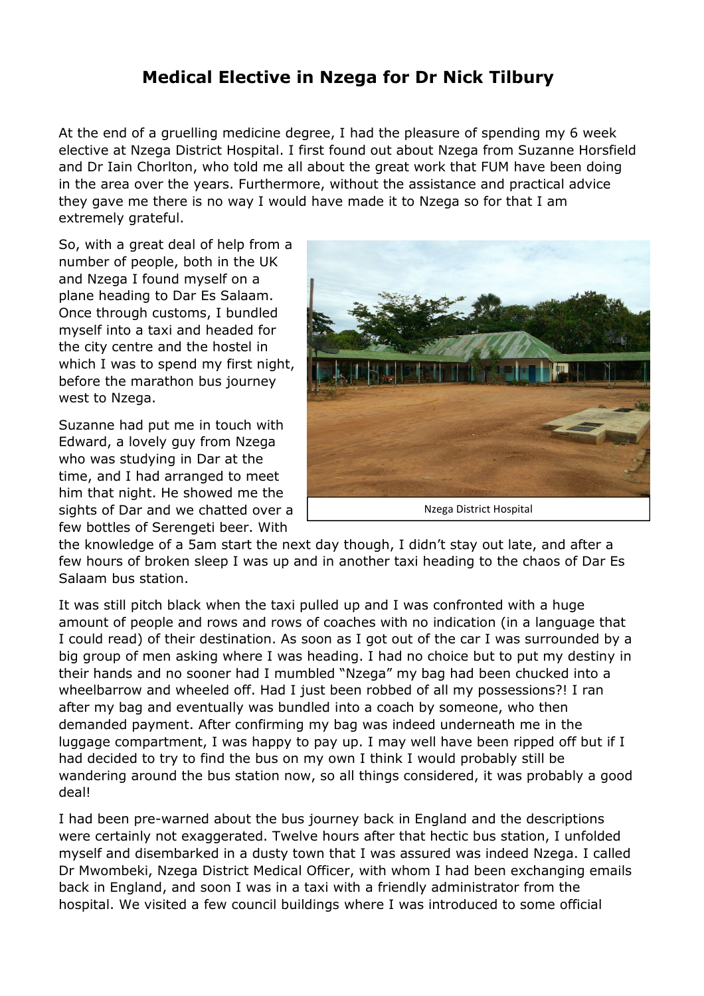## **Medical Elective in Nzega for Dr Nick Tilbury**

At the end of a gruelling medicine degree, I had the pleasure of spending my 6 week elective at Nzega District Hospital. I first found out about Nzega from Suzanne Horsfield and Dr Iain Chorlton, who told me all about the great work that FUM have been doing in the area over the years. Furthermore, without the assistance and practical advice they gave me there is no way I would have made it to Nzega so for that I am extremely grateful.

So, with a great deal of help from a number of people, both in the UK and Nzega I found myself on a plane heading to Dar Es Salaam. Once through customs, I bundled myself into a taxi and headed for the city centre and the hostel in which I was to spend my first night, before the marathon bus journey west to Nzega.

Suzanne had put me in touch with Edward, a lovely guy from Nzega who was studying in Dar at the time, and I had arranged to meet him that night. He showed me the sights of Dar and we chatted over a few bottles of Serengeti beer. With



the knowledge of a 5am start the next day though, I didn't stay out late, and after a few hours of broken sleep I was up and in another taxi heading to the chaos of Dar Es Salaam bus station.

It was still pitch black when the taxi pulled up and I was confronted with a huge amount of people and rows and rows of coaches with no indication (in a language that I could read) of their destination. As soon as I got out of the car I was surrounded by a big group of men asking where I was heading. I had no choice but to put my destiny in their hands and no sooner had I mumbled "Nzega" my bag had been chucked into a wheelbarrow and wheeled off. Had I just been robbed of all my possessions?! I ran after my bag and eventually was bundled into a coach by someone, who then demanded payment. After confirming my bag was indeed underneath me in the luggage compartment, I was happy to pay up. I may well have been ripped off but if I had decided to try to find the bus on my own I think I would probably still be wandering around the bus station now, so all things considered, it was probably a good deal!

I had been pre-warned about the bus journey back in England and the descriptions were certainly not exaggerated. Twelve hours after that hectic bus station, I unfolded myself and disembarked in a dusty town that I was assured was indeed Nzega. I called Dr Mwombeki, Nzega District Medical Officer, with whom I had been exchanging emails back in England, and soon I was in a taxi with a friendly administrator from the hospital. We visited a few council buildings where I was introduced to some official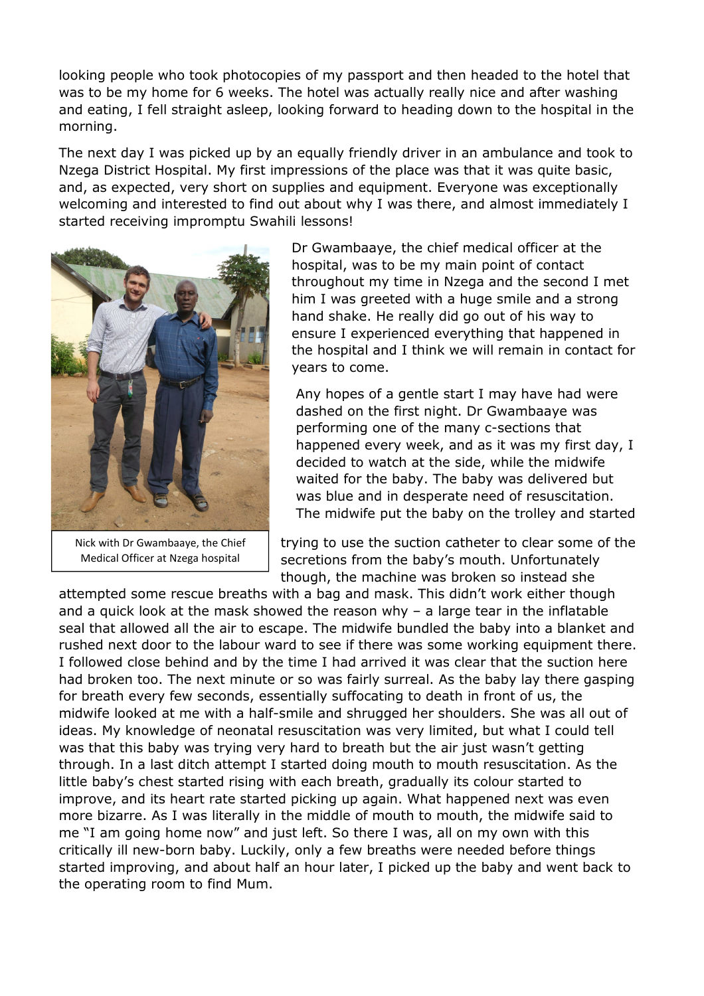looking people who took photocopies of my passport and then headed to the hotel that was to be my home for 6 weeks. The hotel was actually really nice and after washing and eating, I fell straight asleep, looking forward to heading down to the hospital in the morning.

The next day I was picked up by an equally friendly driver in an ambulance and took to Nzega District Hospital. My first impressions of the place was that it was quite basic, and, as expected, very short on supplies and equipment. Everyone was exceptionally welcoming and interested to find out about why I was there, and almost immediately I started receiving impromptu Swahili lessons!



Nick with Dr Gwambaaye, the Chief Medical Officer at Nzega hospital

Dr Gwambaaye, the chief medical officer at the hospital, was to be my main point of contact throughout my time in Nzega and the second I met him I was greeted with a huge smile and a strong hand shake. He really did go out of his way to ensure I experienced everything that happened in the hospital and I think we will remain in contact for years to come.

Any hopes of a gentle start I may have had were dashed on the first night. Dr Gwambaaye was performing one of the many c-sections that happened every week, and as it was my first day, I decided to watch at the side, while the midwife waited for the baby. The baby was delivered but was blue and in desperate need of resuscitation. The midwife put the baby on the trolley and started

trying to use the suction catheter to clear some of the secretions from the baby's mouth. Unfortunately though, the machine was broken so instead she

attempted some rescue breaths with a bag and mask. This didn't work either though and a quick look at the mask showed the reason why  $-$  a large tear in the inflatable seal that allowed all the air to escape. The midwife bundled the baby into a blanket and rushed next door to the labour ward to see if there was some working equipment there. I followed close behind and by the time I had arrived it was clear that the suction here had broken too. The next minute or so was fairly surreal. As the baby lay there gasping for breath every few seconds, essentially suffocating to death in front of us, the midwife looked at me with a half-smile and shrugged her shoulders. She was all out of ideas. My knowledge of neonatal resuscitation was very limited, but what I could tell was that this baby was trying very hard to breath but the air just wasn't getting through. In a last ditch attempt I started doing mouth to mouth resuscitation. As the little baby's chest started rising with each breath, gradually its colour started to improve, and its heart rate started picking up again. What happened next was even more bizarre. As I was literally in the middle of mouth to mouth, the midwife said to me "I am going home now" and just left. So there I was, all on my own with this critically ill new-born baby. Luckily, only a few breaths were needed before things started improving, and about half an hour later, I picked up the baby and went back to the operating room to find Mum.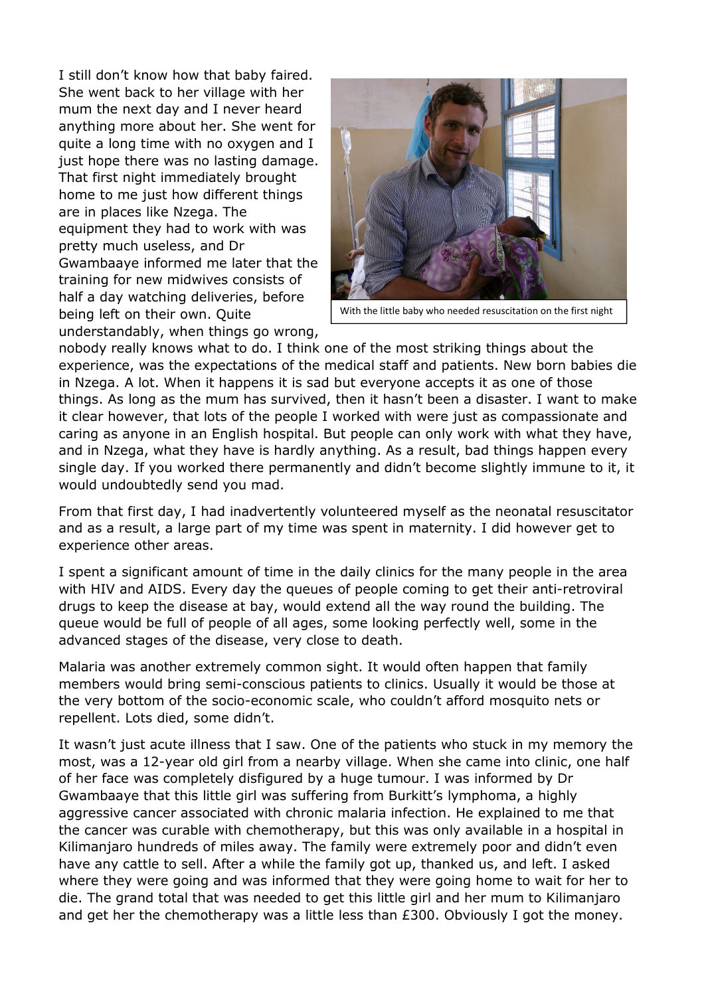I still don't know how that baby faired. She went back to her village with her mum the next day and I never heard anything more about her. She went for quite a long time with no oxygen and I just hope there was no lasting damage. That first night immediately brought home to me just how different things are in places like Nzega. The equipment they had to work with was pretty much useless, and Dr Gwambaaye informed me later that the training for new midwives consists of half a day watching deliveries, before being left on their own. Quite understandably, when things go wrong,



With the little baby who needed resuscitation on the first night

nobody really knows what to do. I think one of the most striking things about the experience, was the expectations of the medical staff and patients. New born babies die in Nzega. A lot. When it happens it is sad but everyone accepts it as one of those things. As long as the mum has survived, then it hasn't been a disaster. I want to make it clear however, that lots of the people I worked with were just as compassionate and caring as anyone in an English hospital. But people can only work with what they have, and in Nzega, what they have is hardly anything. As a result, bad things happen every single day. If you worked there permanently and didn't become slightly immune to it, it would undoubtedly send you mad.

From that first day, I had inadvertently volunteered myself as the neonatal resuscitator and as a result, a large part of my time was spent in maternity. I did however get to experience other areas.

I spent a significant amount of time in the daily clinics for the many people in the area with HIV and AIDS. Every day the queues of people coming to get their anti-retroviral drugs to keep the disease at bay, would extend all the way round the building. The queue would be full of people of all ages, some looking perfectly well, some in the advanced stages of the disease, very close to death.

Malaria was another extremely common sight. It would often happen that family members would bring semi-conscious patients to clinics. Usually it would be those at the very bottom of the socio-economic scale, who couldn't afford mosquito nets or repellent. Lots died, some didn't.

It wasn't just acute illness that I saw. One of the patients who stuck in my memory the most, was a 12-year old girl from a nearby village. When she came into clinic, one half of her face was completely disfigured by a huge tumour. I was informed by Dr Gwambaaye that this little girl was suffering from Burkitt's lymphoma, a highly aggressive cancer associated with chronic malaria infection. He explained to me that the cancer was curable with chemotherapy, but this was only available in a hospital in Kilimanjaro hundreds of miles away. The family were extremely poor and didn't even have any cattle to sell. After a while the family got up, thanked us, and left. I asked where they were going and was informed that they were going home to wait for her to die. The grand total that was needed to get this little girl and her mum to Kilimanjaro and get her the chemotherapy was a little less than £300. Obviously I got the money.